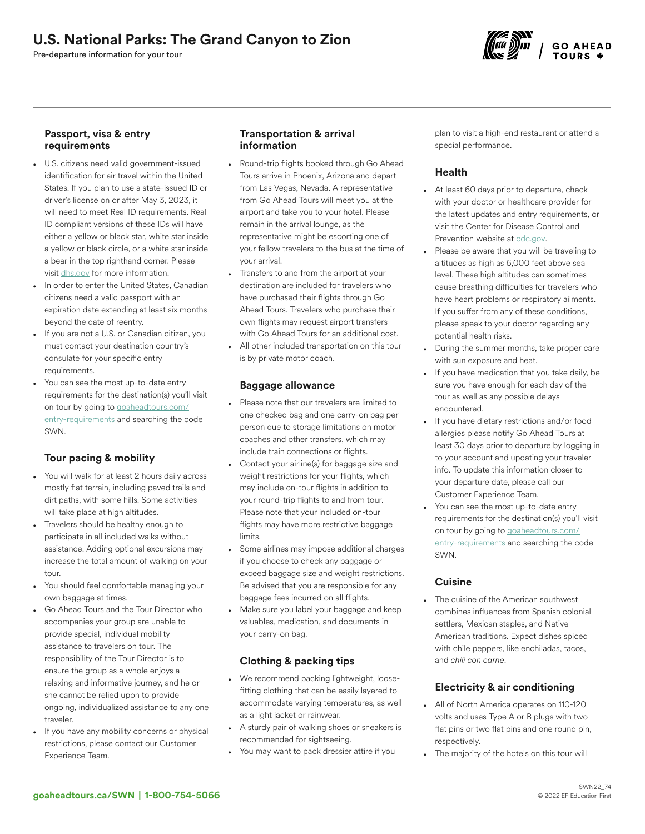# U.S. National Parks: The Grand Canyon to Zion

Pre-departure information for your tour



#### Passport, visa & entry requirements

- U.S. citizens need valid government-issued identification for air travel within the United States. If you plan to use a state-issued ID or driver's license on or after May 3, 2023, it will need to meet Real ID requirements. Real ID compliant versions of these IDs will have either a yellow or black star, white star inside a yellow or black circle, or a white star inside a bear in the top righthand corner. Please visit [dhs.gov](https://www.dhs.gov/real-id-frequently-asked-questions) for more information.
- In order to enter the United States, Canadian citizens need a valid passport with an expiration date extending at least six months beyond the date of reentry.
- If you are not a U.S. or Canadian citizen, you must contact your destination country's consulate for your specific entry requirements.
- You can see the most up-to-date entry requirements for the destination(s) you'll visit on tour by going to [goaheadtours.com/](/entry-requirements?tourCode=SWN) [entry-requirements](/entry-requirements?tourCode=SWN) and searching the code SWN.

### Tour pacing & mobility

- You will walk for at least 2 hours daily across mostly flat terrain, including paved trails and dirt paths, with some hills. Some activities will take place at high altitudes.
- Travelers should be healthy enough to participate in all included walks without assistance. Adding optional excursions may increase the total amount of walking on your tour.
- You should feel comfortable managing your own baggage at times.
- Go Ahead Tours and the Tour Director who accompanies your group are unable to provide special, individual mobility assistance to travelers on tour. The responsibility of the Tour Director is to ensure the group as a whole enjoys a relaxing and informative journey, and he or she cannot be relied upon to provide ongoing, individualized assistance to any one traveler.
- If you have any mobility concerns or physical restrictions, please contact our Customer Experience Team.

#### Transportation & arrival information

- Round-trip flights booked through Go Ahead Tours arrive in Phoenix, Arizona and depart from Las Vegas, Nevada. A representative from Go Ahead Tours will meet you at the airport and take you to your hotel. Please remain in the arrival lounge, as the representative might be escorting one of your fellow travelers to the bus at the time of your arrival.
- Transfers to and from the airport at your destination are included for travelers who have purchased their flights through Go Ahead Tours. Travelers who purchase their own flights may request airport transfers with Go Ahead Tours for an additional cost.
- All other included transportation on this tour is by private motor coach.

#### Baggage allowance

- Please note that our travelers are limited to one checked bag and one carry-on bag per person due to storage limitations on motor coaches and other transfers, which may include train connections or flights.
- Contact your airline(s) for baggage size and weight restrictions for your flights, which may include on-tour flights in addition to your round-trip flights to and from tour. Please note that your included on-tour flights may have more restrictive baggage limits.
- Some airlines may impose additional charges if you choose to check any baggage or exceed baggage size and weight restrictions. Be advised that you are responsible for any baggage fees incurred on all flights.
- Make sure you label your baggage and keep valuables, medication, and documents in your carry-on bag.

# Clothing & packing tips

- We recommend packing lightweight, loosefitting clothing that can be easily layered to accommodate varying temperatures, as well as a light jacket or rainwear.
- A sturdy pair of walking shoes or sneakers is recommended for sightseeing.
- You may want to pack dressier attire if you

plan to visit a high-end restaurant or attend a special performance.

## Health

- At least 60 days prior to departure, check with your doctor or healthcare provider for the latest updates and entry requirements, or visit the Center for Disease Control and Prevention website at [cdc.gov.](https://www.cdc.gov/)
- Please be aware that you will be traveling to altitudes as high as 6,000 feet above sea level. These high altitudes can sometimes cause breathing difficulties for travelers who have heart problems or respiratory ailments. If you suffer from any of these conditions, please speak to your doctor regarding any potential health risks.
- During the summer months, take proper care with sun exposure and heat.
- If you have medication that you take daily, be sure you have enough for each day of the tour as well as any possible delays encountered.
- If you have dietary restrictions and/or food allergies please notify Go Ahead Tours at least 30 days prior to departure by logging in to your account and updating your traveler info. To update this information closer to your departure date, please call our Customer Experience Team.
- You can see the most up-to-date entry requirements for the destination(s) you'll visit on tour by going to [goaheadtours.com/](/entry-requirements?tourCode=SWN) [entry-requirements](/entry-requirements?tourCode=SWN) and searching the code SWN.

### Cuisine

The cuisine of the American southwest combines influences from Spanish colonial settlers, Mexican staples, and Native American traditions. Expect dishes spiced with chile peppers, like enchiladas, tacos, and *chili con carne*.

### Electricity & air conditioning

- All of North America operates on 110-120 volts and uses Type A or B plugs with two flat pins or two flat pins and one round pin, respectively.
- The majority of the hotels on this tour will